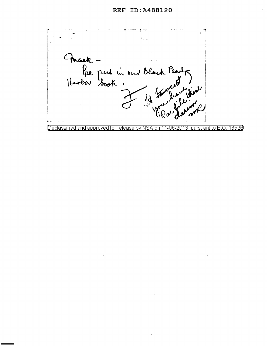Maak -<br>Re put in our black Party<br>Haobar Book : 11 Janvier /<br>مگل مس<br>ممد مل ر  $\mathbb{A}$  $\mathbf{L}$ Declassified and approved for release by NSA on 11-06-2013 pursuant to E.O. 13520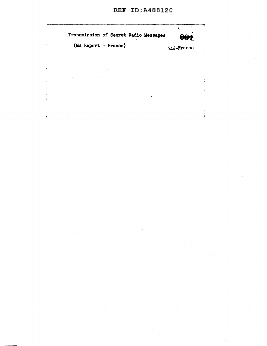$\mathcal{A}^{\mathcal{A}}$ 

 $\mathcal{A}$ 

| Transmission of Secret Radio Messages | е.         |  |
|---------------------------------------|------------|--|
| (MA Report - France)                  | 544-France |  |
|                                       |            |  |
|                                       |            |  |
|                                       |            |  |
|                                       |            |  |

 $\mathcal{L}_{\mathcal{A}}$ 

 $\mathbf{L}^{(1)}$ 

 $\hat{L}$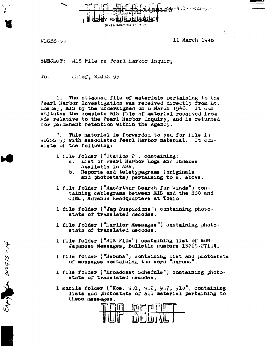

**WASHINGTON 25. D. C.** 

**WIGSS-90** 

Copy or wages - 14

11 March 1946

SUBJEUT: MIS File re Pearl Harbor Inquiry

 $TQ_{\perp}$ Chiof, Widss-93

The attached file of materials pertaining to the 1. Pearl Harbor Investigation was received directly from Lt. Boskey, MIS by the undersigned on 6 March 1946. It constitutes the complete MIS file of material received from ASA relative to the Pearl Harbor Inquiry, and is returned for permanent retention within the Agency.

This material is forwarded to you for file in  $2$ widSS-93 with associated Pearl Harbor material. It consists of the following:

- 1 file folder ("Station  $2$ ") containing:
	- a. List of Pearl Harbor Logs and Indexes Available in ASA.
	- b. Reports and teletypegrams (originals and photostats) pertaining to a. above.
- 1 file folder ("MacArthur Search for Winds") containing cablegrams between MIS and the SSO and CINC, Advance Headquarters at Tokio
- 1 file folder ("Jap Suspicions") containing photostats of translated decodes.
- 1 file folder ("Earlier Messages") containing photostats of translated decodes.
- 1 file folder ("SIS File") containing list of NON-Japanese Messages, Bulletin numbers 13265-27104.
- 1 file folder ("Haruna") containing list and photostats of messages containing the word "Haruna".
- 1 file folder ("Broadcast Schedule") containing photostats of translated decodes.

1 manila folder ("Nos. 901, 902, 907, 910") containing lists and photostats of all material pertaining to these messages.